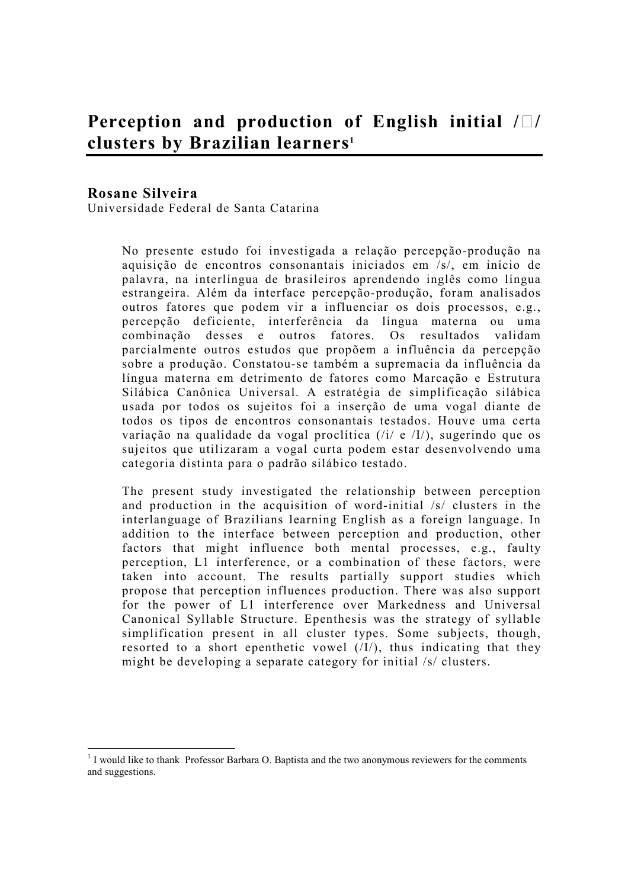# Perception and production of English initial / / clusters by Brazilian learners<sup>1</sup>

## Rosane Silveira

-

Universidade Federal de Santa Catarina

No presente estudo foi investigada a relação percepção-produção na aquisição de encontros consonantais iniciados em /s/, em início de palavra, na interlíngua de brasileiros aprendendo inglês como língua estrangeira. Além da interface percepção-produção, foram analisados outros fatores que podem vir a influenciar os dois processos, e.g., percepção deficiente, interferência da língua materna ou uma combinação desses e outros fatores. Os resultados validam parcialmente outros estudos que propõem a influência da percepção sobre a produção. Constatou-se também a supremacia da influência da língua materna em detrimento de fatores como Marcação e Estrutura Silábica Canônica Universal. A estratégia de simplificação silábica usada por todos os sujeitos foi a inserção de uma vogal diante de todos os tipos de encontros consonantais testados. Houve uma certa variação na qualidade da vogal proclítica  $(i/2 \epsilon / I)$ , sugerindo que os sujeitos que utilizaram a vogal curta podem estar desenvolvendo uma categoria distinta para o padrão silábico testado.

The present study investigated the relationship between perception and production in the acquisition of word-initial /s/ clusters in the interlanguage of Brazilians learning English as a foreign language. In addition to the interface between perception and production, other factors that might influence both mental processes, e.g., faulty perception, L1 interference, or a combination of these factors, were taken into account. The results partially support studies which propose that perception influences production. There was also support for the power of L1 interference over Markedness and Universal Canonical Syllable Structure. Epenthesis was the strategy of syllable simplification present in all cluster types. Some subjects, though, resorted to a short epenthetic vowel  $(|I|)$ , thus indicating that they might be developing a separate category for initial /s/ clusters.

<sup>&</sup>lt;sup>1</sup> I would like to thank Professor Barbara O. Baptista and the two anonymous reviewers for the comments and suggestions.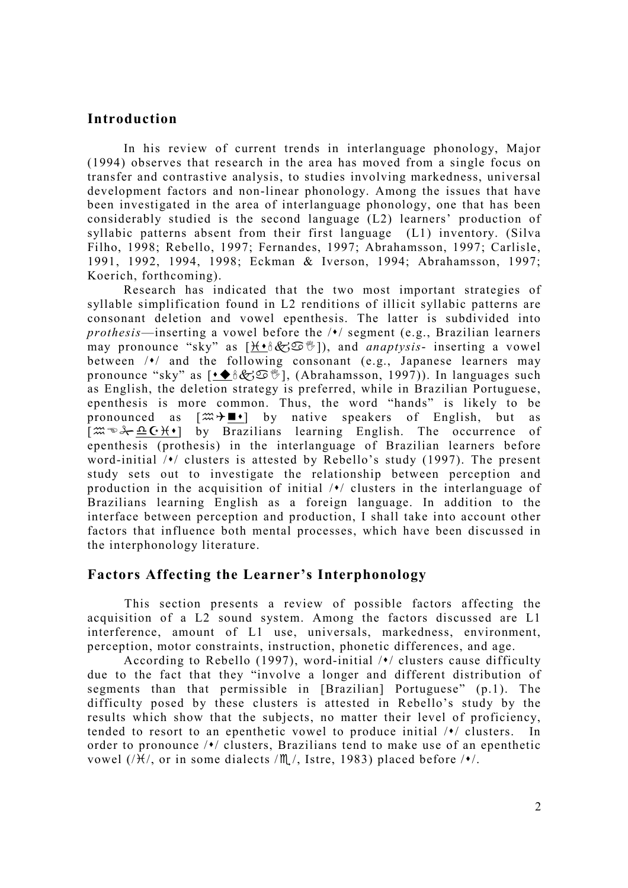## Introduction

In his review of current trends in interlanguage phonology, Major (1994) observes that research in the area has moved from a single focus on transfer and contrastive analysis, to studies involving markedness, universal development factors and non-linear phonology. Among the issues that have been investigated in the area of interlanguage phonology, one that has been considerably studied is the second language (L2) learners' production of syllabic patterns absent from their first language (L1) inventory. (Silva Filho, 1998; Rebello, 1997; Fernandes, 1997; Abrahamsson, 1997; Carlisle, 1991, 1992, 1994, 1998; Eckman & Iverson, 1994; Abrahamsson, 1997; Koerich, forthcoming).

Research has indicated that the two most important strategies of syllable simplification found in L2 renditions of illicit syllabic patterns are consonant deletion and vowel epenthesis. The latter is subdivided into prothesis—inserting a vowel before the  $/*/$  segment (e.g., Brazilian learners) may pronounce "sky" as  $[\underline{H \bullet \mathbb{B}} \& \mathbb{S} \& \]$ , and *anaptysis*- inserting a vowel between /\*/ and the following consonant (e.g., Japanese learners may pronounce "sky" as  $[\cdot \bullet \& \& \otimes \& ]$ , (Abrahamsson, 1997)). In languages such as English, the deletion strategy is preferred, while in Brazilian Portuguese, epenthesis is more common. Thus, the word "hands" is likely to be pronounced as  $[\mathfrak{m} \rightarrow \blacksquare \rightarrow]$  by native speakers of English, but as [ $\mathfrak{m} \otimes \mathfrak{S} \triangleq \underline{\Omega \oplus \mathfrak{h}}$  by Brazilians learning English. The occurrence of epenthesis (prothesis) in the interlanguage of Brazilian learners before word-initial  $\sqrt{\cdot}$  clusters is attested by Rebello's study (1997). The present study sets out to investigate the relationship between perception and production in the acquisition of initial  $\sqrt{\cdot}$  clusters in the interlanguage of Brazilians learning English as a foreign language. In addition to the interface between perception and production, I shall take into account other factors that influence both mental processes, which have been discussed in the interphonology literature.

#### Factors Affecting the Learner's Interphonology

 This section presents a review of possible factors affecting the acquisition of a L2 sound system. Among the factors discussed are L1 interference, amount of L1 use, universals, markedness, environment, perception, motor constraints, instruction, phonetic differences, and age.

According to Rebello (1997), word-initial  $\sqrt{\ }$  clusters cause difficulty due to the fact that they "involve a longer and different distribution of segments than that permissible in [Brazilian] Portuguese" (p.1). The difficulty posed by these clusters is attested in Rebello's study by the results which show that the subjects, no matter their level of proficiency, tended to resort to an epenthetic vowel to produce initial  $\sqrt{\cdot}$  clusters. In order to pronounce  $/$  (clusters, Brazilians tend to make use of an epenthetic vowel (/ $H$ /, or in some dialects / $M$ /, Istre, 1983) placed before / $\bullet$ /.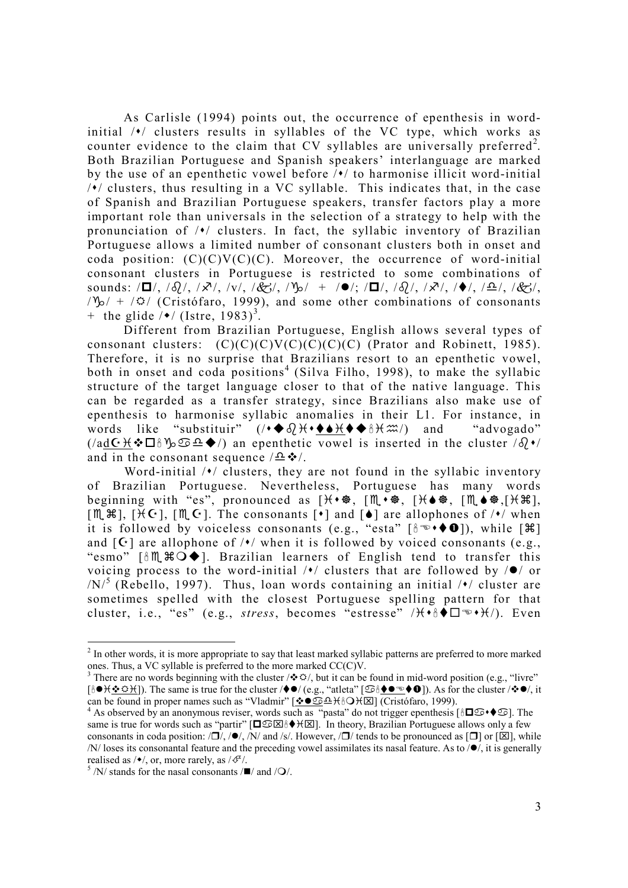As Carlisle (1994) points out, the occurrence of epenthesis in wordinitial  $/\prime$  clusters results in syllables of the VC type, which works as counter evidence to the claim that CV syllables are universally preferred<sup>2</sup>. Both Brazilian Portuguese and Spanish speakers' interlanguage are marked by the use of an epenthetic vowel before  $/*/$  to harmonise illicit word-initial  $/$ . clusters, thus resulting in a VC syllable. This indicates that, in the case of Spanish and Brazilian Portuguese speakers, transfer factors play a more important role than universals in the selection of a strategy to help with the pronunciation of  $/*/$  clusters. In fact, the syllabic inventory of Brazilian Portuguese allows a limited number of consonant clusters both in onset and coda position:  $(C)(C)(C)(C)$ . Moreover, the occurrence of word-initial consonant clusters in Portuguese is restricted to some combinations of sounds:  $|\mathbf{D}|$ ,  $|\partial_l|$ ,  $|\partial_l|$ ,  $|\partial_l|$ ,  $|v|$ ,  $|\partial_s|$ ,  $|\partial_s|$ ,  $|\mathbf{D}|$ ,  $|\partial_l|$ ,  $|\partial_l|$ ,  $|\partial_l|$ ,  $|\partial_s|$ ,  $|\partial_s|$ ,  $|\partial_s|$ ,  $/\gamma_{\rm D}/ +/\hat{\varphi}/$  (Cristófaro, 1999), and some other combinations of consonants + the glide  $/$  (Istre, 1983)<sup>3</sup>.

Different from Brazilian Portuguese, English allows several types of consonant clusters:  $(C)(C)(C)(C)(C)(C)(C)$  (Prator and Robinett, 1985). Therefore, it is no surprise that Brazilians resort to an epenthetic vowel, both in onset and coda positions<sup>4</sup> (Silva Filho, 1998), to make the syllabic structure of the target language closer to that of the native language. This can be regarded as a transfer strategy, since Brazilians also make use of epenthesis to harmonise syllabic anomalies in their L1. For instance, in words like "substituir" (/---/) and "advogado"  $(\sqrt{adC\mathcal{H}}\cdot\mathcal{H})\cdot\mathbb{Q}\cdot\mathbb{Q}$  an epenthetic vowel is inserted in the cluster  $\sqrt{d}\cdot\mathcal{H}$ and in the consonant sequence  $/\sqrt{\frac{1}{2}}$ .

Word-initial /\*/ clusters, they are not found in the syllabic inventory of Brazilian Portuguese. Nevertheless, Portuguese has many words beginning with "es", pronounced as [H • ※, [M • ※, [H • ※, [M • ※, [H 3], [ME], [HC], [ME]. The consonants  $[\cdot]$  and  $[\bullet]$  are allophones of / $\cdot$ / when it is followed by voiceless consonants (e.g., "esta" []), while [] and  $[\mathbf{C}]$  are allophone of / $\bullet$ / when it is followed by voiced consonants (e.g., "esmo" [ $\frac{1}{2}$   $\mathbb{R}$   $\mathbb{R}$   $\mathbb{Q}$   $\blacklozenge$  ]. Brazilian learners of English tend to transfer this voicing process to the word-initial  $/$  clusters that are followed by  $/$   $\bullet$  / or  $/N^5$  (Rebello, 1997). Thus, loan words containing an initial  $/V$  cluster are sometimes spelled with the closest Portuguese spelling pattern for that cluster, i.e., "es" (e.g., *stress*, becomes "estresse"  $/\forall$  +  $\land$   $\blacksquare \Rightarrow$  +  $\forall$  /). Even

<sup>3</sup> There are no words beginning with the cluster  $/$   $\odot$   $\odot$ , but it can be found in mid-word position (e.g., "livre"  $[\hat{\mathbf{\Theta}} \otimes \hat{\mathbf{\Theta}} \otimes \hat{\mathbf{\Theta}} + \hat{\mathbf{\Theta}} \times \hat{\mathbf{\Theta}}]$ ). As for the cluster  $\hat{\mathbf{\Theta}}$ , it is the cluster  $\hat{\mathbf{\Theta}}$ , it can be found in proper names such as "Vladmir"  $[\mathbf{\text{*}} \bullet \mathbf{\text{S}} \triangleq \mathcal{H} \land \Theta \land \Box]$  (Cristófaro, 1999).

<sup>4</sup> As observed by an anonymous reviser, words such as "pasta" do not trigger epenthesis [ $\theta \Box \mathcal{D} \cdot \blacklozenge$ ]. The same is true for words such as "partir" [ $\Box \odot \boxtimes \land \blacklozenge \land \boxtimes$ ]. In theory, Brazilian Portuguese allows only a few consonants in coda position:  $\langle \Box / \rangle$ ,  $\langle \Theta / \rangle$ ,  $\langle N / \rangle$  and  $\langle s \rangle$ . However,  $\langle \Box / \rangle$  tends to be pronounced as  $[\Box]$  or  $[\Box]$ , while /N/ loses its consonantal feature and the preceding vowel assimilates its nasal feature. As to  $/\bullet$ , it is generally realised as  $/\bullet$ , or, more rarely, as  $/\mathcal{F}/$ .

<sup>&</sup>lt;sup>2</sup> In other words, it is more appropriate to say that least marked syllabic patterns are preferred to more marked ones. Thus, a VC syllable is preferred to the more marked CC(C)V.

 $^5$  /N/ stands for the nasal consonants / $\blacksquare$ / and / $\bigcirc$ /.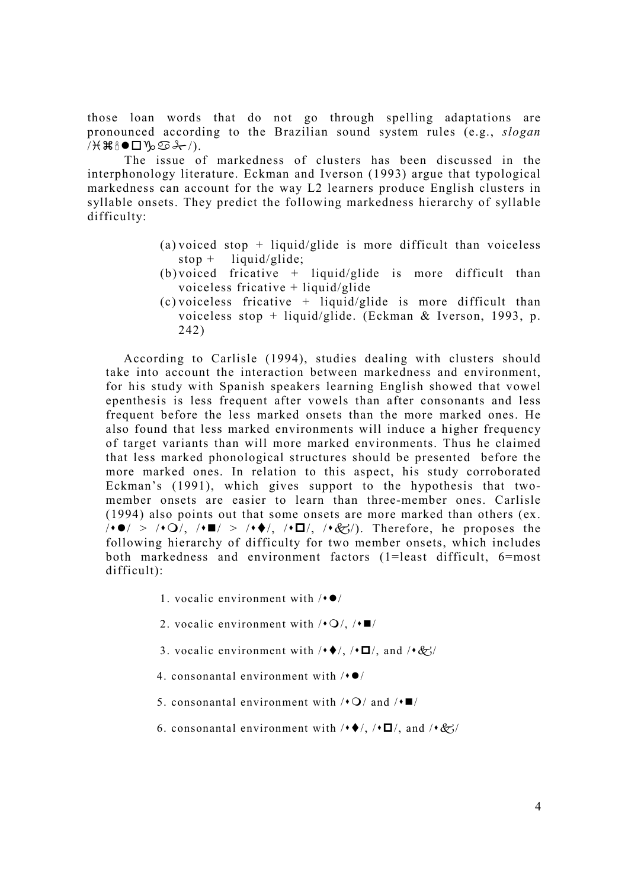those loan words that do not go through spelling adaptations are pronounced according to the Brazilian sound system rules (e.g., slogan /H\\$®●□½으⊹/).

 The issue of markedness of clusters has been discussed in the interphonology literature. Eckman and Iverson (1993) argue that typological markedness can account for the way L2 learners produce English clusters in syllable onsets. They predict the following markedness hierarchy of syllable difficulty:

- (a) voiced stop  $+$  liquid/glide is more difficult than voiceless stop + liquid/glide;
- (b) voiced fricative  $+$  liquid/glide is more difficult than voiceless fricative + liquid/glide
- $(c)$  voiceless fricative + liquid/glide is more difficult than voiceless stop + liquid/glide. (Eckman & Iverson, 1993, p. 242)

According to Carlisle (1994), studies dealing with clusters should take into account the interaction between markedness and environment, for his study with Spanish speakers learning English showed that vowel epenthesis is less frequent after vowels than after consonants and less frequent before the less marked onsets than the more marked ones. He also found that less marked environments will induce a higher frequency of target variants than will more marked environments. Thus he claimed that less marked phonological structures should be presented before the more marked ones. In relation to this aspect, his study corroborated Eckman's (1991), which gives support to the hypothesis that twomember onsets are easier to learn than three-member ones. Carlisle (1994) also points out that some onsets are more marked than others (ex. // > //, / / > //, //, //). Therefore, he proposes the following hierarchy of difficulty for two member onsets, which includes both markedness and environment factors (1=least difficult, 6=most difficult):

- 1. vocalic environment with  $/$   $\bullet$  /
- 2. vocalic environment with  $/$   $\bullet$   $\Box$ /
- 3. vocalic environment with  $/ \cdot \bullet / \cdot \cdot \square /$ , and  $/ \cdot \cdot \cdot / \cdot$
- 4. consonantal environment with  $/$   $\bullet$ /
- 5. consonantal environment with  $/$   $\bullet$   $\Box$  /  $\Box$
- 6. consonantal environment with  $/ \cdot \bullet /$ ,  $/ \cdot \square /$ , and  $/ \cdot \mathcal{L}$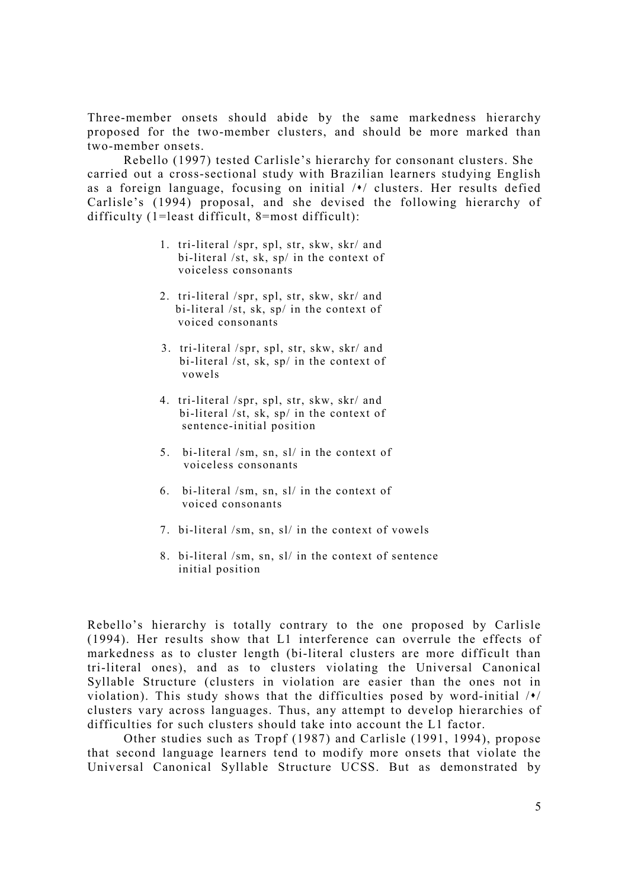Three-member onsets should abide by the same markedness hierarchy proposed for the two-member clusters, and should be more marked than two-member onsets.

Rebello (1997) tested Carlisle's hierarchy for consonant clusters. She carried out a cross-sectional study with Brazilian learners studying English as a foreign language, focusing on initial  $\forall$  clusters. Her results defied Carlisle's (1994) proposal, and she devised the following hierarchy of difficulty (1=least difficult, 8=most difficult):

- 1. tri-literal /spr, spl, str, skw, skr/ and bi-literal /st, sk, sp/ in the context of voiceless consonants
- 2. tri-literal /spr, spl, str, skw, skr/ and bi-literal /st, sk, sp/ in the context of voiced consonants
- 3. tri-literal /spr, spl, str, skw, skr/ and bi-literal /st, sk, sp/ in the context of vowels
- 4. tri-literal /spr, spl, str, skw, skr/ and bi-literal /st, sk, sp/ in the context of sentence-initial position
- 5. bi-literal /sm, sn, sl/ in the context of voiceless consonants
- 6. bi-literal /sm, sn, sl/ in the context of voiced consonants
- 7. bi-literal /sm, sn, sl/ in the context of vowels
- 8. bi-literal /sm, sn, sl/ in the context of sentence initial position

Rebello's hierarchy is totally contrary to the one proposed by Carlisle (1994). Her results show that L1 interference can overrule the effects of markedness as to cluster length (bi-literal clusters are more difficult than tri-literal ones), and as to clusters violating the Universal Canonical Syllable Structure (clusters in violation are easier than the ones not in violation). This study shows that the difficulties posed by word-initial  $/*/$ clusters vary across languages. Thus, any attempt to develop hierarchies of difficulties for such clusters should take into account the L1 factor.

Other studies such as Tropf (1987) and Carlisle (1991, 1994), propose that second language learners tend to modify more onsets that violate the Universal Canonical Syllable Structure UCSS. But as demonstrated by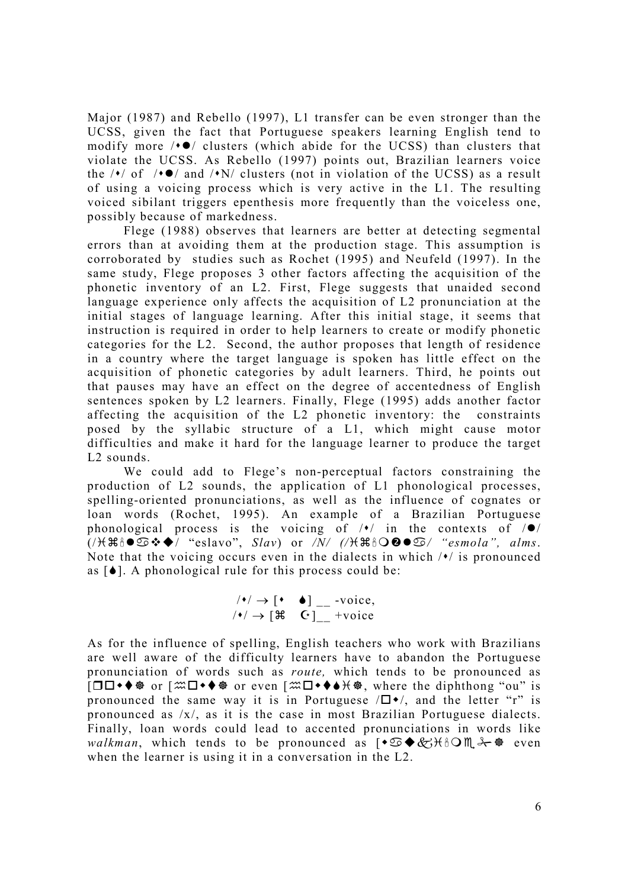Major (1987) and Rebello (1997), L1 transfer can be even stronger than the UCSS, given the fact that Portuguese speakers learning English tend to modify more  $/$   $\bullet$  / clusters (which abide for the UCSS) than clusters that violate the UCSS. As Rebello (1997) points out, Brazilian learners voice the  $/*/$  of  $/*/\bullet$  and  $/*/\bullet$  clusters (not in violation of the UCSS) as a result of using a voicing process which is very active in the L1. The resulting voiced sibilant triggers epenthesis more frequently than the voiceless one, possibly because of markedness.

Flege (1988) observes that learners are better at detecting segmental errors than at avoiding them at the production stage. This assumption is corroborated by studies such as Rochet (1995) and Neufeld (1997). In the same study, Flege proposes 3 other factors affecting the acquisition of the phonetic inventory of an L2. First, Flege suggests that unaided second language experience only affects the acquisition of L2 pronunciation at the initial stages of language learning. After this initial stage, it seems that instruction is required in order to help learners to create or modify phonetic categories for the L2. Second, the author proposes that length of residence in a country where the target language is spoken has little effect on the acquisition of phonetic categories by adult learners. Third, he points out that pauses may have an effect on the degree of accentedness of English sentences spoken by L2 learners. Finally, Flege (1995) adds another factor affecting the acquisition of the L2 phonetic inventory: the constraints posed by the syllabic structure of a L1, which might cause motor difficulties and make it hard for the language learner to produce the target L2 sounds.

We could add to Flege's non-perceptual factors constraining the production of L2 sounds, the application of L1 phonological processes, spelling-oriented pronunciations, as well as the influence of cognates or loan words (Rochet, 1995). An example of a Brazilian Portuguese phonological process is the voicing of  $/)/$  in the contexts of  $/)//$  $(\forall\forall\Re\Diamond\bullet\odot\bullet\bullet/\text{``eslavo", Slav})$  or  $/N/$   $(\forall\forall\Re\Diamond\bullet\bullet\odot/\text{``esmola", alms.})$ Note that the voicing occurs even in the dialects in which  $/·$  is pronounced as  $[\triangle]$ . A phonological rule for this process could be:

$$
\begin{array}{ccc}\n\sqrt{1} & \rightarrow & \bullet \\
\sqrt{1} & \rightarrow & \bullet\n\end{array}
$$
\n
$$
\begin{array}{ccc}\n\sqrt{1} & \rightarrow & \bullet \\
\sqrt{1} & \rightarrow & \bullet\n\end{array}
$$
\n
$$
\begin{array}{ccc}\n\sqrt{1} & \rightarrow & \bullet \\
\sqrt{1} & \rightarrow & \bullet\n\end{array}
$$

As for the influence of spelling, English teachers who work with Brazilians are well aware of the difficulty learners have to abandon the Portuguese pronunciation of words such as route, which tends to be pronounced as [! or [ or even [-, where the diphthong "ou" is pronounced the same way it is in Portuguese  $/\Box \bullet /$ , and the letter "r" is pronounced as /x/, as it is the case in most Brazilian Portuguese dialects. Finally, loan words could lead to accented pronunciations in words like walkman, which tends to be pronounced as  $\lbrack \bullet \textcircled{x} \bullet \textcircled{x} \star \textcircled{1} \rightarrow \textcircled{x}$  even when the learner is using it in a conversation in the L2.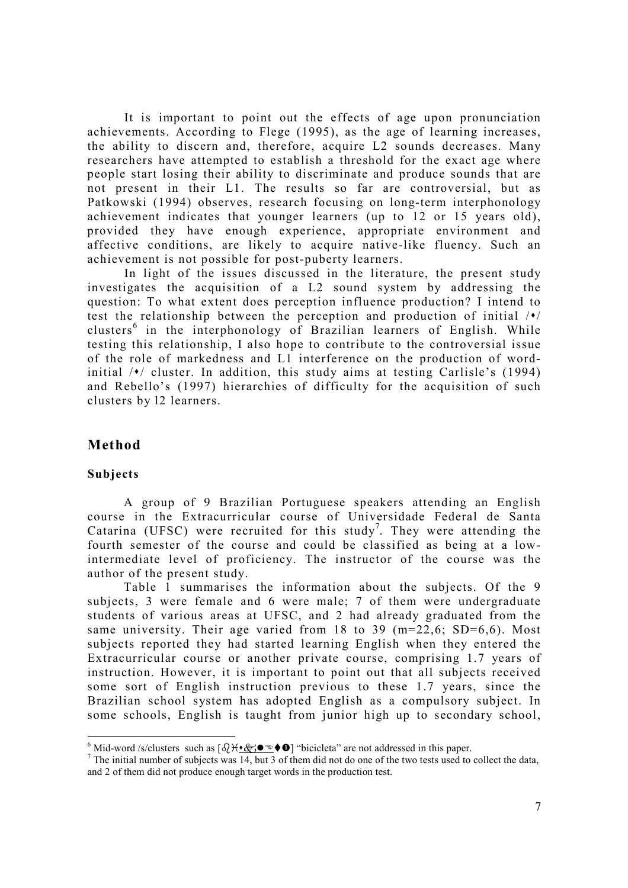It is important to point out the effects of age upon pronunciation achievements. According to Flege (1995), as the age of learning increases, the ability to discern and, therefore, acquire L2 sounds decreases. Many researchers have attempted to establish a threshold for the exact age where people start losing their ability to discriminate and produce sounds that are not present in their L1. The results so far are controversial, but as Patkowski (1994) observes, research focusing on long-term interphonology achievement indicates that younger learners (up to 12 or 15 years old), provided they have enough experience, appropriate environment and affective conditions, are likely to acquire native-like fluency. Such an achievement is not possible for post-puberty learners.

In light of the issues discussed in the literature, the present study investigates the acquisition of a L2 sound system by addressing the question: To what extent does perception influence production? I intend to test the relationship between the perception and production of initial  $\forall$ clusters<sup>6</sup> in the interphonology of Brazilian learners of English. While testing this relationship, I also hope to contribute to the controversial issue of the role of markedness and L1 interference on the production of wordinitial  $\sqrt{\ }$  cluster. In addition, this study aims at testing Carlisle's (1994) and Rebello's (1997) hierarchies of difficulty for the acquisition of such clusters by l2 learners.

## Method

#### Subjects

-

A group of 9 Brazilian Portuguese speakers attending an English course in the Extracurricular course of Universidade Federal de Santa Catarina (UFSC) were recruited for this study<sup>7</sup>. They were attending the fourth semester of the course and could be classified as being at a lowintermediate level of proficiency. The instructor of the course was the author of the present study.

Table 1 summarises the information about the subjects. Of the 9 subjects, 3 were female and 6 were male; 7 of them were undergraduate students of various areas at UFSC, and 2 had already graduated from the same university. Their age varied from 18 to 39  $(m=22.6; SD=6.6)$ . Most subjects reported they had started learning English when they entered the Extracurricular course or another private course, comprising 1.7 years of instruction. However, it is important to point out that all subjects received some sort of English instruction previous to these 1.7 years, since the Brazilian school system has adopted English as a compulsory subject. In some schools, English is taught from junior high up to secondary school,

Mid-word /s/clusters such as  $[\partial_t \mathcal{H} \cdot \mathcal{L} \rightarrow \bullet \bullet]$  "bicicleta" are not addressed in this paper.

<sup>&</sup>lt;sup>7</sup> The initial number of subjects was 14, but 3 of them did not do one of the two tests used to collect the data, and 2 of them did not produce enough target words in the production test.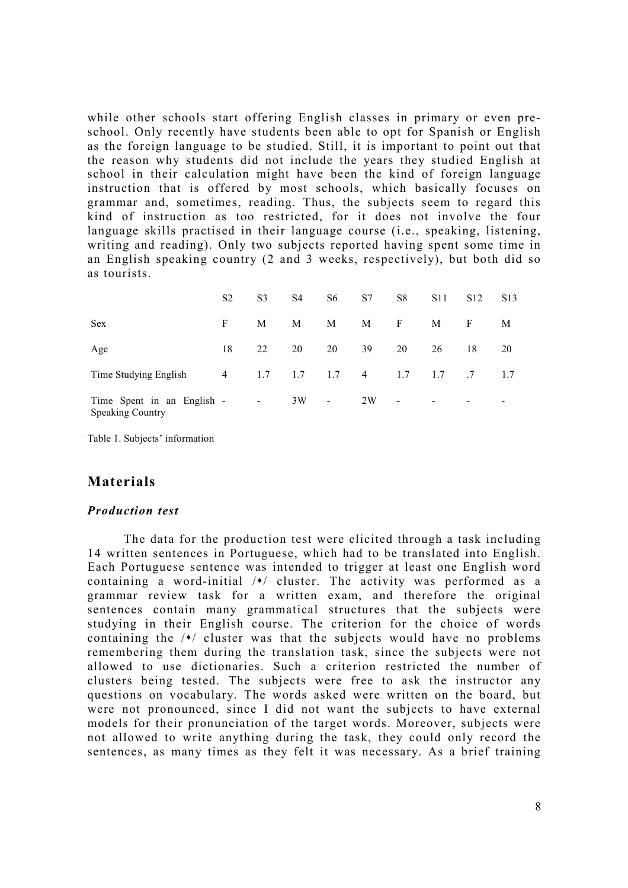while other schools start offering English classes in primary or even preschool. Only recently have students been able to opt for Spanish or English as the foreign language to be studied. Still, it is important to point out that the reason why students did not include the years they studied English at school in their calculation might have been the kind of foreign language instruction that is offered by most schools, which basically focuses on grammar and, sometimes, reading. Thus, the subjects seem to regard this kind of instruction as too restricted, for it does not involve the four language skills practised in their language course (i.e., speaking, listening, writing and reading). Only two subjects reported having spent some time in an English speaking country (2 and 3 weeks, respectively), but both did so as tourists.

|                                                       | S <sub>2</sub> | S <sub>3</sub> | S4  | S6                       | S7             | S8                       | S <sub>11</sub> | S <sub>12</sub> | S <sub>13</sub> |
|-------------------------------------------------------|----------------|----------------|-----|--------------------------|----------------|--------------------------|-----------------|-----------------|-----------------|
| <b>Sex</b>                                            | F              | M              | М   | M                        | M              | F                        | M               | F               | М               |
| Age                                                   | 18             | 22             | 20  | 20                       | 39             | 20                       | 26              | 18              | 20              |
| Time Studying English                                 | $\overline{4}$ | 1.7            | 1.7 | 1.7                      | $\overline{4}$ | 1.7                      | 1.7             | .7              | 1.7             |
| Time Spent in an English -<br><b>Speaking Country</b> |                | $\blacksquare$ | 3W  | $\overline{\phantom{a}}$ | 2W             | $\overline{\phantom{a}}$ |                 |                 |                 |

Table 1. Subjects' information

## Materials

#### Production test

The data for the production test were elicited through a task including 14 written sentences in Portuguese, which had to be translated into English. Each Portuguese sentence was intended to trigger at least one English word containing a word-initial  $/*/$  cluster. The activity was performed as a grammar review task for a written exam, and therefore the original sentences contain many grammatical structures that the subjects were studying in their English course. The criterion for the choice of words containing the  $/$  cluster was that the subjects would have no problems remembering them during the translation task, since the subjects were not allowed to use dictionaries. Such a criterion restricted the number of clusters being tested. The subjects were free to ask the instructor any questions on vocabulary. The words asked were written on the board, but were not pronounced, since I did not want the subjects to have external models for their pronunciation of the target words. Moreover, subjects were not allowed to write anything during the task, they could only record the sentences, as many times as they felt it was necessary. As a brief training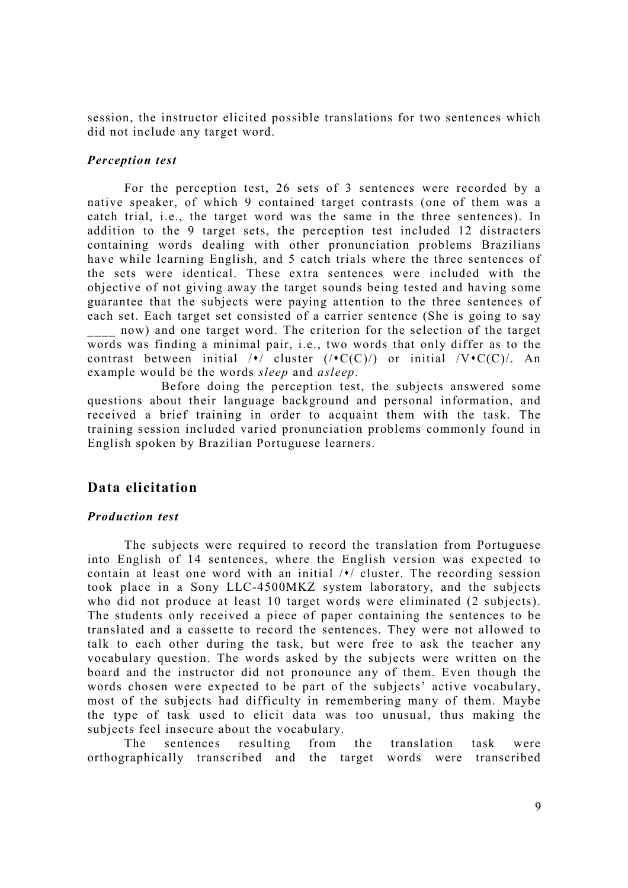session, the instructor elicited possible translations for two sentences which did not include any target word.

#### Perception test

 For the perception test, 26 sets of 3 sentences were recorded by a native speaker, of which 9 contained target contrasts (one of them was a catch trial, i.e., the target word was the same in the three sentences). In addition to the 9 target sets, the perception test included 12 distracters containing words dealing with other pronunciation problems Brazilians have while learning English, and 5 catch trials where the three sentences of the sets were identical. These extra sentences were included with the objective of not giving away the target sounds being tested and having some guarantee that the subjects were paying attention to the three sentences of each set. Each target set consisted of a carrier sentence (She is going to say

now) and one target word. The criterion for the selection of the target words was finding a minimal pair, i.e., two words that only differ as to the contrast between initial  $/\bullet$  cluster  $(\prime \bullet C(C))$  or initial  $/\bullet C(C)$ . An example would be the words sleep and asleep.

 Before doing the perception test, the subjects answered some questions about their language background and personal information, and received a brief training in order to acquaint them with the task. The training session included varied pronunciation problems commonly found in English spoken by Brazilian Portuguese learners.

## Data elicitation

#### Production test

 The subjects were required to record the translation from Portuguese into English of 14 sentences, where the English version was expected to contain at least one word with an initial  $/\prime$  cluster. The recording session took place in a Sony LLC-4500MKZ system laboratory, and the subjects who did not produce at least 10 target words were eliminated (2 subjects). The students only received a piece of paper containing the sentences to be translated and a cassette to record the sentences. They were not allowed to talk to each other during the task, but were free to ask the teacher any vocabulary question. The words asked by the subjects were written on the board and the instructor did not pronounce any of them. Even though the words chosen were expected to be part of the subjects' active vocabulary, most of the subjects had difficulty in remembering many of them. Maybe the type of task used to elicit data was too unusual, thus making the subjects feel insecure about the vocabulary.

 The sentences resulting from the translation task were orthographically transcribed and the target words were transcribed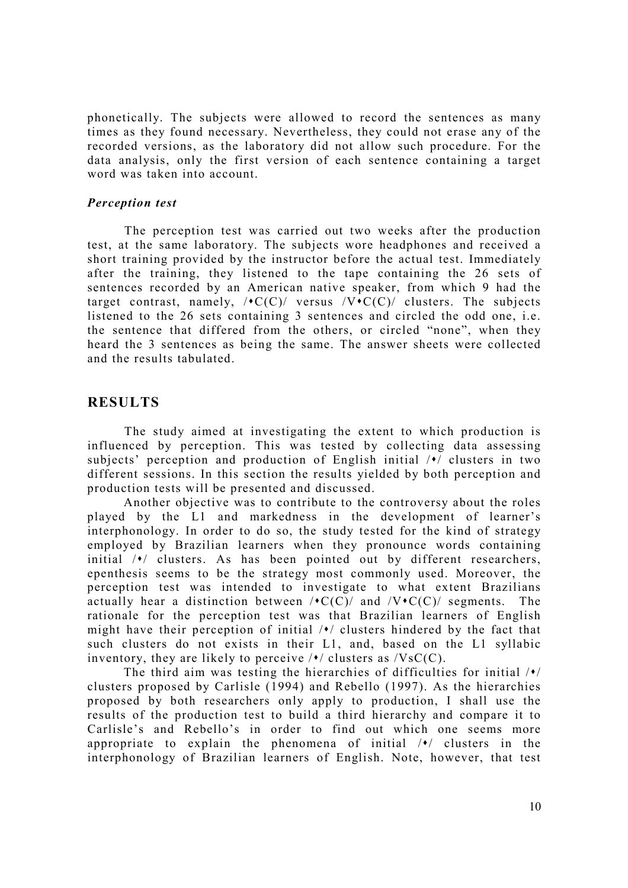phonetically. The subjects were allowed to record the sentences as many times as they found necessary. Nevertheless, they could not erase any of the recorded versions, as the laboratory did not allow such procedure. For the data analysis, only the first version of each sentence containing a target word was taken into account.

#### Perception test

 The perception test was carried out two weeks after the production test, at the same laboratory. The subjects wore headphones and received a short training provided by the instructor before the actual test. Immediately after the training, they listened to the tape containing the 26 sets of sentences recorded by an American native speaker, from which 9 had the target contrast, namely,  $/*C(C)/$  versus  $/ V*C(C)/$  clusters. The subjects listened to the 26 sets containing 3 sentences and circled the odd one, i.e. the sentence that differed from the others, or circled "none", when they heard the 3 sentences as being the same. The answer sheets were collected and the results tabulated.

## **RESULTS**

 The study aimed at investigating the extent to which production is influenced by perception. This was tested by collecting data assessing subjects' perception and production of English initial  $\forall$  clusters in two different sessions. In this section the results yielded by both perception and production tests will be presented and discussed.

Another objective was to contribute to the controversy about the roles played by the L1 and markedness in the development of learner's interphonology. In order to do so, the study tested for the kind of strategy employed by Brazilian learners when they pronounce words containing initial  $/\bullet$  clusters. As has been pointed out by different researchers, epenthesis seems to be the strategy most commonly used. Moreover, the perception test was intended to investigate to what extent Brazilians actually hear a distinction between  $\sqrt{C(C)}$  and  $\sqrt{V^*C(C)}$  segments. The rationale for the perception test was that Brazilian learners of English might have their perception of initial  $\sqrt{\cdot}$  clusters hindered by the fact that such clusters do not exists in their L1, and, based on the L1 syllabic inventory, they are likely to perceive  $/*/$  clusters as  $/VsC(C)$ .

The third aim was testing the hierarchies of difficulties for initial  $/*/$ clusters proposed by Carlisle (1994) and Rebello (1997). As the hierarchies proposed by both researchers only apply to production, I shall use the results of the production test to build a third hierarchy and compare it to Carlisle's and Rebello's in order to find out which one seems more appropriate to explain the phenomena of initial  $\sqrt{\cdot}$  clusters in the interphonology of Brazilian learners of English. Note, however, that test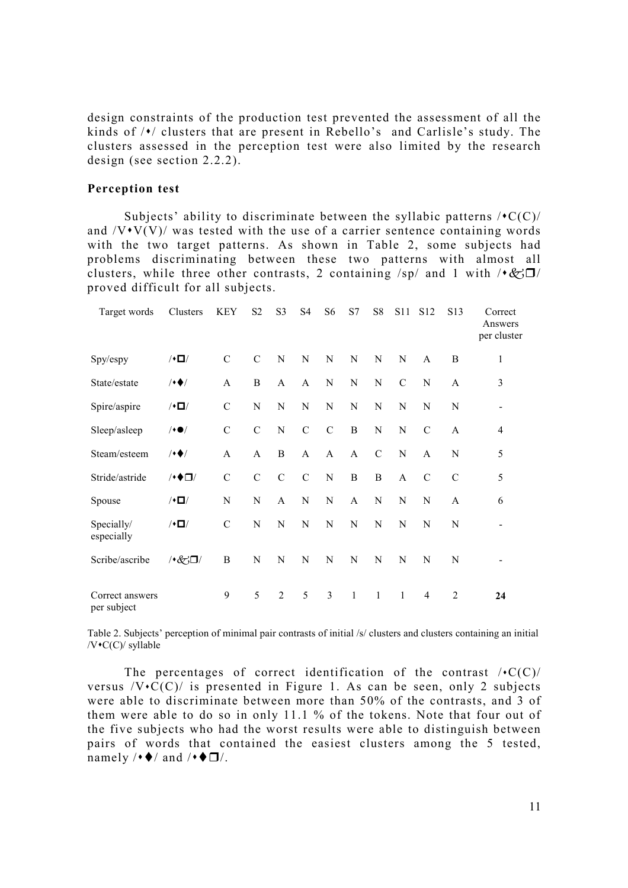design constraints of the production test prevented the assessment of all the kinds of  $/*/$  clusters that are present in Rebello's and Carlisle's study. The clusters assessed in the perception test were also limited by the research design (see section 2.2.2).

#### Perception test

Subjects' ability to discriminate between the syllabic patterns  $\sqrt{C(C)}$ and  $\sqrt{V\cdot V(V)}$  was tested with the use of a carrier sentence containing words with the two target patterns. As shown in Table 2, some subjects had problems discriminating between these two patterns with almost all clusters, while three other contrasts, 2 containing  $\frac{s_p}{a_1}$  and 1 with  $\frac{s_p}{a_1}$ proved difficult for all subjects.

| Target words                   | Clusters              | <b>KEY</b>    | S <sub>2</sub> | S <sub>3</sub> | S <sub>4</sub> | S <sub>6</sub> | S7           | S8            | <b>S11</b>     | S <sub>12</sub> | S <sub>13</sub> | Correct<br>Answers<br>per cluster |
|--------------------------------|-----------------------|---------------|----------------|----------------|----------------|----------------|--------------|---------------|----------------|-----------------|-----------------|-----------------------------------|
| Spy/espy                       | $/ \cdot \Box /$      | $\mathcal{C}$ | $\mathcal{C}$  | N              | ${\bf N}$      | N              | ${\bf N}$    | $\mathbf N$   | N              | A               | B               | 1                                 |
| State/estate                   | /                     | A             | B              | A              | $\mathbf{A}$   | ${\bf N}$      | ${\bf N}$    | $\mathbf N$   | $\mathcal{C}$  | N               | A               | 3                                 |
| Spire/aspire                   | $/ \cdot \Box /$      | $\mathcal{C}$ | N              | ${\bf N}$      | ${\bf N}$      | ${\bf N}$      | ${\bf N}$    | N             | N              | N               | $\mathbf N$     | $\overline{\phantom{a}}$          |
| Sleep/asleep                   | $/ \cdot \bullet /$   | $\mathcal{C}$ | $\mathcal{C}$  | $\mathbf N$    | $\mathbf C$    | $\mathcal{C}$  | $\, {\bf B}$ | ${\bf N}$     | N              | $\mathcal{C}$   | A               | 4                                 |
| Steam/esteem                   | $/$ $\blacklozenge$ / | A             | A              | B              | A              | A              | $\mathbf{A}$ | $\mathcal{C}$ | $\overline{N}$ | A               | N               | 5                                 |
| Stride/astride                 | $/$ + $\bigoplus$     | $\mathcal{C}$ | $\mathcal{C}$  | $\mathcal{C}$  | $\mathcal{C}$  | ${\bf N}$      | $\, {\bf B}$ | $\, {\bf B}$  | $\mathbf{A}$   | $\mathcal{C}$   | $\mathcal{C}$   | 5                                 |
| Spouse                         | $/ \cdot \Box /$      | N             | N              | A              | N              | N              | A            | $\mathbf N$   | N              | $\mathbf N$     | A               | 6                                 |
| Specially/<br>especially       | $/ \cdot \Box /$      | $\mathcal{C}$ | ${\bf N}$      | $\mathbf N$    | $\mathbf N$    | N              | $\mathbf N$  | ${\bf N}$     | N              | N               | $\mathbf N$     |                                   |
| Scribe/ascribe                 | $/$ *& $\Box$         | $\, {\bf B}$  | N              | ${\bf N}$      | $\mathbf N$    | ${\bf N}$      | $\mathbf N$  | $\mathbf N$   | $\mathbf N$    | $\mathbf N$     | $\mathbf N$     |                                   |
| Correct answers<br>per subject |                       | 9             | 5              | $\mathfrak{D}$ | 5              | $\overline{3}$ | $\mathbf{1}$ | 1             | 1              | $\overline{4}$  | $\overline{2}$  | 24                                |

Table 2. Subjects' perception of minimal pair contrasts of initial /s/ clusters and clusters containing an initial  $/V$   $\cdot$  C(C)/ syllable

The percentages of correct identification of the contrast  $\sqrt{C(C)}$ versus  $/V*C(C)$  is presented in Figure 1. As can be seen, only 2 subjects were able to discriminate between more than 50% of the contrasts, and 3 of them were able to do so in only 11.1 % of the tokens. Note that four out of the five subjects who had the worst results were able to distinguish between pairs of words that contained the easiest clusters among the 5 tested, namely  $/ \cdot \bullet /$  and  $/ \cdot \bullet \Box /$ .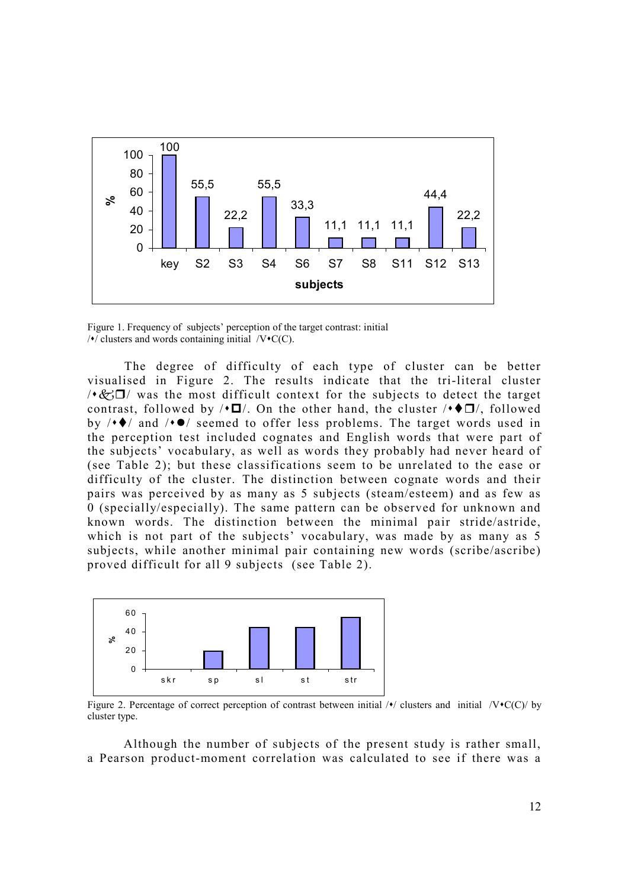

Figure 1. Frequency of subjects' perception of the target contrast: initial  $/\bullet$ / clusters and words containing initial /V $\bullet$ C(C).

 The degree of difficulty of each type of cluster can be better visualised in Figure 2. The results indicate that the tri-literal cluster  $\sqrt{2}$  was the most difficult context for the subjects to detect the target contrast, followed by  $/$   $\Box$ . On the other hand, the cluster  $/$   $\Diamond$   $\Box$ , followed by  $/$   $\rightarrow$   $/$  and  $/$   $\bullet$  seemed to offer less problems. The target words used in the perception test included cognates and English words that were part of the subjects' vocabulary, as well as words they probably had never heard of (see Table 2); but these classifications seem to be unrelated to the ease or difficulty of the cluster. The distinction between cognate words and their pairs was perceived by as many as 5 subjects (steam/esteem) and as few as 0 (specially/especially). The same pattern can be observed for unknown and known words. The distinction between the minimal pair stride/astride, which is not part of the subjects' vocabulary, was made by as many as 5 subjects, while another minimal pair containing new words (scribe/ascribe) proved difficult for all 9 subjects (see Table 2).



Figure 2. Percentage of correct perception of contrast between initial  $/$  clusters and initial  $/$ V $\cdot$ C(C) $/$  by cluster type.

Although the number of subjects of the present study is rather small, a Pearson product-moment correlation was calculated to see if there was a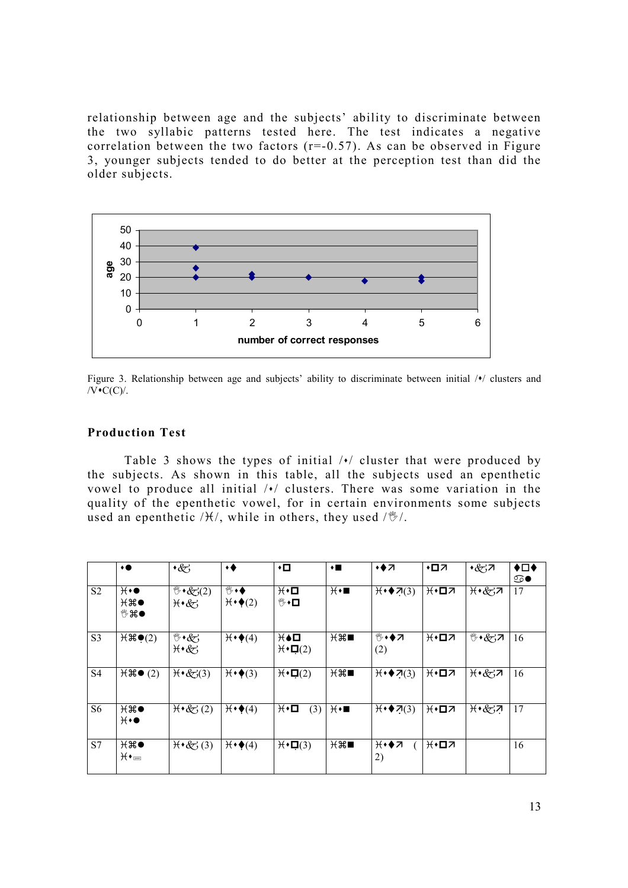relationship between age and the subjects' ability to discriminate between the two syllabic patterns tested here. The test indicates a negative correlation between the two factors  $(r=-0.57)$ . As can be observed in Figure 3, younger subjects tended to do better at the perception test than did the older subjects.



Figure 3. Relationship between age and subjects' ability to discriminate between initial  $\prime\prime$  clusters and  $/V$   $\cdot$  C(C) $/$ .

#### Production Test

Table 3 shows the types of initial  $\sqrt{\theta}$  cluster that were produced by the subjects. As shown in this table, all the subjects used an epenthetic vowel to produce all initial  $\sqrt{\cdot}$  clusters. There was some variation in the quality of the epenthetic vowel, for in certain environments some subjects used an epenthetic / $H/$ , while in others, they used / $H/$ .

|                | ٠                                                                                | $*$ &                                                    | ∙♦                                                                              | $\bullet$                                                | $\bullet \blacksquare$          | ◆◆刁                                      | ◆ロス                      | ⊼ی•                     | ◆□◆<br>ை |
|----------------|----------------------------------------------------------------------------------|----------------------------------------------------------|---------------------------------------------------------------------------------|----------------------------------------------------------|---------------------------------|------------------------------------------|--------------------------|-------------------------|----------|
| S <sub>2</sub> | $\mathcal{H} \bullet \bullet$<br>$\mathcal{H} \mathcal{H} \bullet$<br>็ััืืืื้ั€ | $\mathscr{C}(2)$<br>$H \cdot \mathscr{L}$                | $\overline{\mathbb{M}}$ + $\blacklozenge$<br>$\mathcal{H} \cdot \mathcal{L}(2)$ | $H \cdot \square$<br>ᢟ◆□                                 | $H \cdot \blacksquare$          | $\mathcal{H} \rightarrow \mathcal{A}(3)$ | $\mathcal{H} \cdot \Box$ | $H \times \mathcal{L}7$ | 17       |
| S <sub>3</sub> | $H$ $\mathcal{H}$ $\bullet$ $(2)$                                                | $\mathscr{C} \cdot \mathscr{C}$<br>$H \cdot \mathcal{L}$ | $\mathcal{H} \bullet \blacklozenge(4)$                                          | $H \bullet \Box$<br>$\mathcal{H} \cdot \mathbf{\Box}(2)$ | $H^*$                           | ◎◆◆刁<br>(2)                              | $\mathcal{H} \cdot \Box$ | ৠ∙&ূস                   | 16       |
| S <sub>4</sub> | $\overline{H}$ $\mathcal{H}$ $\bullet$ (2)                                       | $H \cdot \mathcal{L}(3)$                                 | $\mathcal{H} \cdot \blacklozenge(3)$                                            | $\mathcal{H} \cdot \mathbf{\Box}(2)$                     | $H^* \mathbb{R}$                | $\mathcal{H} \rightarrow \mathcal{A}(3)$ | $H \cdot \Box$           | $H \times \mathcal{L}7$ | 16       |
| S <sub>6</sub> | $\mathcal{H} \mathcal{H} \bullet$<br>$\mathcal{H} \bullet \bullet$               | $H \cdot \mathcal{L}(2)$                                 | $\mathcal{H} \bullet \blacklozenge(4)$                                          | $H \cdot \square$<br>(3)                                 | $H \cdot \blacksquare$          | $\mathcal{H} \rightarrow \mathcal{A}(3)$ | $H \cdot \Box Z$         | $H \times \mathcal{L}7$ | 17       |
| S7             | $\mathcal{H} \mathcal{H} \bullet$<br>$H^* =$                                     | $H \cdot \mathcal{L}(3)$                                 | $\mathcal{H} \bullet \blacklozenge(4)$                                          | $\mathcal{H} \cdot \mathbf{\Box}(3)$                     | $H^* \mathbb{R}$ $\blacksquare$ | $H \leftrightarrow \pi$<br>2)            | $H \cdot \Box$           |                         | 16       |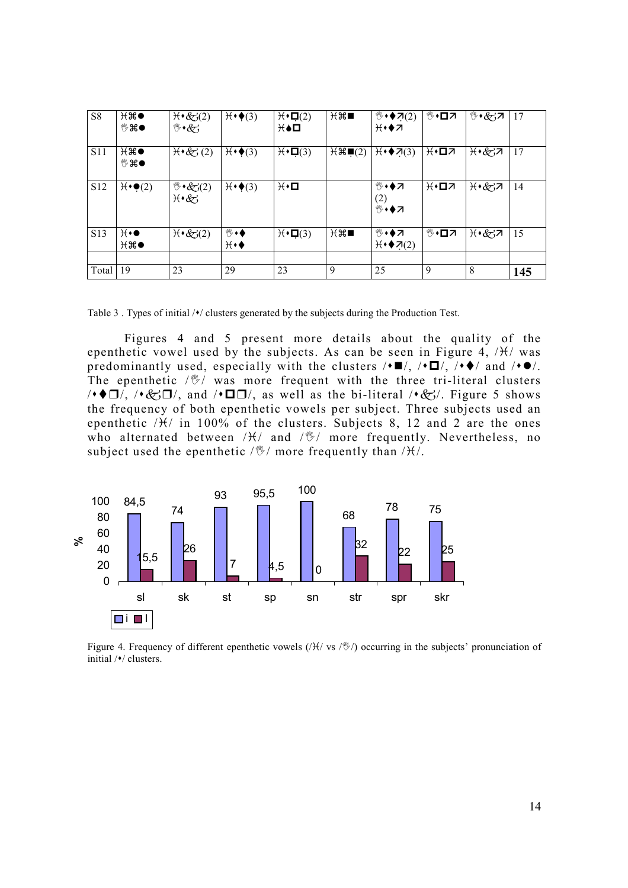| S <sub>8</sub>  | $\mathcal{H} \mathcal{H} \bullet$<br>燃ま●                           | $H \cdot \mathcal{L}(2)$<br>$\mathscr{C} \cdot \mathscr{C}$ | $\mathcal{H} \bullet (3)$                | $\mathcal{H} \cdot \mathbf{\Box}(2)$<br>$H \bullet \Box$ | $H^*H^*$      | $\mathcal{L}$ $\rightarrow$ $\mathcal{L}(2)$<br>$H \leftrightarrow H$ | ৠ∙⊔স                     | ৠ∙&স                    | 17  |
|-----------------|--------------------------------------------------------------------|-------------------------------------------------------------|------------------------------------------|----------------------------------------------------------|---------------|-----------------------------------------------------------------------|--------------------------|-------------------------|-----|
| <b>S11</b>      | $\mathcal{H} \mathcal{H} \bullet$<br>燃ま●                           | $H \cdot \mathcal{L}(2)$                                    | $\mathcal{H} \bullet \blacklozenge(3)$   | $\mathcal{H} \cdot \mathbf{\Box}(3)$                     | $H$ $H$ $(2)$ | $\mathcal{H} \rightarrow \mathcal{A}(3)$                              | $\mathcal{H} \cdot \Box$ | $H \times \mathcal{L}7$ | 17  |
| S <sub>12</sub> | $\mathcal{H} \bullet \bullet (2)$                                  | $\mathscr{C}(2)$<br>$H \cdot \mathcal{L}$                   | $\mathcal{H} \bullet (3)$                | $H \cdot \square$                                        |               | ◎◆◆刁<br>(2)<br>♥◆◆ ス                                                  | $H \cdot \Box$           | $H \times \mathcal{L}7$ | 14  |
| S <sub>13</sub> | $\mathcal{H} \bullet \bullet$<br>$\mathcal{H} \mathcal{H} \bullet$ | $H \cdot \mathcal{L}(2)$                                    | ₩∙◆<br>$\mathcal{H} \cdot \blacklozenge$ | $\mathcal{H} \cdot \mathbf{\Box}(3)$                     | $H$ $H$       | ◎◆◆刁<br>$\mathcal{H} \rightarrow \mathcal{A}(2)$                      | ্®∗⊔7                    | )(∙&;и                  | 15  |
|                 |                                                                    |                                                             |                                          |                                                          |               |                                                                       |                          |                         |     |
| Total           | 19                                                                 | 23                                                          | 29                                       | 23                                                       | 9             | 25                                                                    | 9                        | 8                       | 145 |

Table 3. Types of initial  $\sqrt{\ }$  clusters generated by the subjects during the Production Test.

 Figures 4 and 5 present more details about the quality of the epenthetic vowel used by the subjects. As can be seen in Figure 4,  $/H$  was predominantly used, especially with the clusters  $/ \cdot \blacksquare /$ ,  $/ \cdot \blacksquare /$ ,  $/ \cdot \lozenge /$  and  $/ \cdot \lozenge /$ . The epenthetic  $/\sqrt[6]{ }$  was more frequent with the three tri-literal clusters  $/$   $\blacklozenge$   $\blacksquare$ /, and  $/$   $\blacksquare$ /, as well as the bi-literal  $/$  $\blacklozenge$ /. Figure 5 shows the frequency of both epenthetic vowels per subject. Three subjects used an epenthetic  $/H/$  in 100% of the clusters. Subjects 8, 12 and 2 are the ones who alternated between  $/H/$  and  $/\sqrt[6]{}$  more frequently. Nevertheless, no subject used the epenthetic  $/\sqrt[6]{ }$  more frequently than  $/\mathcal{H}/$ .



Figure 4. Frequency of different epenthetic vowels ( $/H$  vs  $/\sqrt[6]{v}$ ) occurring in the subjects' pronunciation of initial / $\blacklozenge$ / clusters.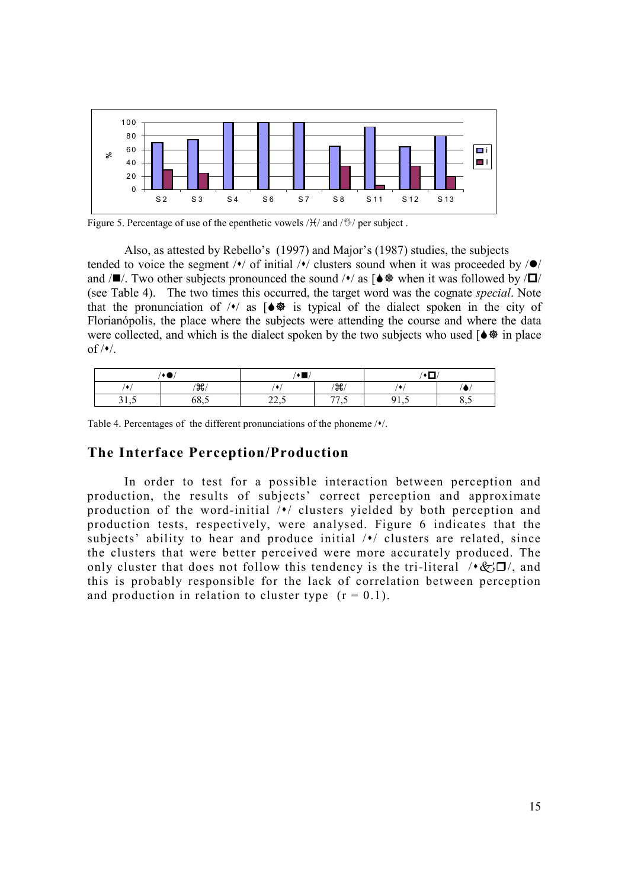

Figure 5. Percentage of use of the epenthetic vowels  $/H/$  and  $/W/$  per subject.

Also, as attested by Rebello's (1997) and Major's (1987) studies, the subjects tended to voice the segment  $\sqrt{\ }$  of initial  $\sqrt{\ }$  clusters sound when it was proceeded by  $\sqrt{\ }$ and  $/\blacksquare$ . Two other subjects pronounced the sound  $/\blacklozenge$  as  $\lceil\blacklozenge\clubsuit\rangle$  when it was followed by  $/\blacksquare$ (see Table 4). The two times this occurred, the target word was the cognate special. Note that the pronunciation of  $/)/$  as  $\phi$  is typical of the dialect spoken in the city of Florianópolis, the place where the subjects were attending the course and where the data were collected, and which is the dialect spoken by the two subjects who used  $\phi$  in place  $of / \cdot/$ .

| /◆●/        |              | 人間               |                       | ٠Π                   |              |  |
|-------------|--------------|------------------|-----------------------|----------------------|--------------|--|
| ٠           | /æ           |                  | /ऋ/                   |                      |              |  |
| -<br>ر. د ر | ິດ ອ<br>08.9 | 22c<br>ل د سامسا | $\overline{a}$<br>່າມ | $^{\Omega}$ 1<br>ノエコ | $\mathbf{0}$ |  |

Table 4. Percentages of the different pronunciations of the phoneme  $/$ .

## The Interface Perception/Production

 In order to test for a possible interaction between perception and production, the results of subjects' correct perception and approximate production of the word-initial  $\forall$  clusters yielded by both perception and production tests, respectively, were analysed. Figure 6 indicates that the subjects' ability to hear and produce initial  $/$  clusters are related, since the clusters that were better perceived were more accurately produced. The only cluster that does not follow this tendency is the tri-literal  $/$ • $\mathcal{L}$ ,  $\Box/$ , and this is probably responsible for the lack of correlation between perception and production in relation to cluster type  $(r = 0.1)$ .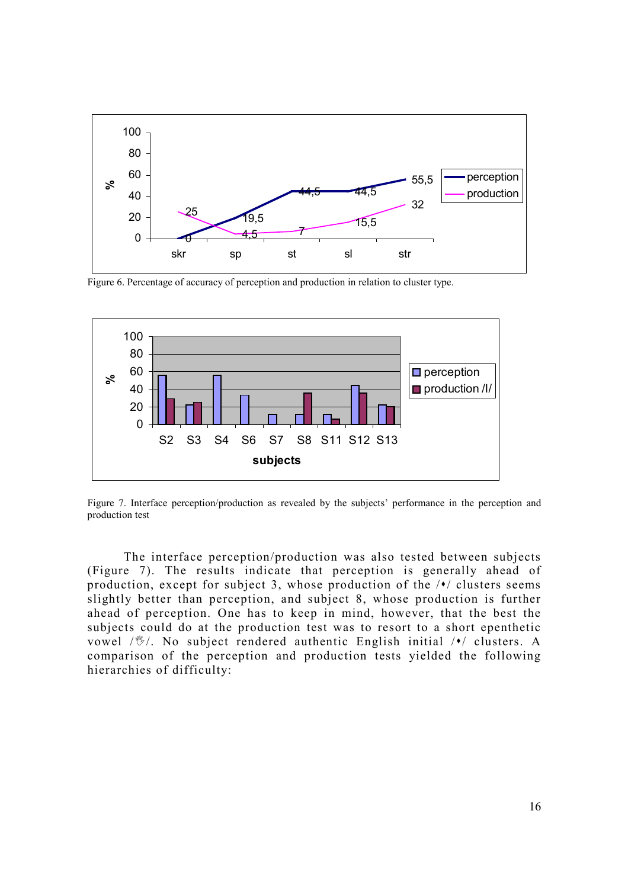

Figure 6. Percentage of accuracy of perception and production in relation to cluster type.



Figure 7. Interface perception/production as revealed by the subjects' performance in the perception and production test

The interface perception/production was also tested between subjects (Figure 7). The results indicate that perception is generally ahead of production, except for subject 3, whose production of the  $/$  clusters seems slightly better than perception, and subject 8, whose production is further ahead of perception. One has to keep in mind, however, that the best the subjects could do at the production test was to resort to a short epenthetic vowel / $\mathcal{V}$ . No subject rendered authentic English initial / $\cdot$ / clusters. A comparison of the perception and production tests yielded the following hierarchies of difficulty: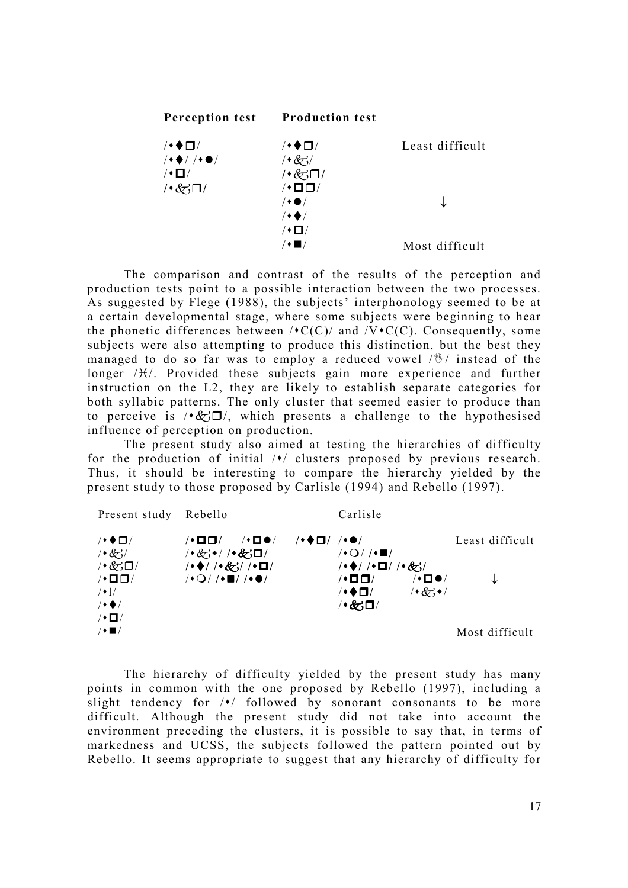| Perception test                               | <b>Production test</b>      |                 |
|-----------------------------------------------|-----------------------------|-----------------|
| $/$ $\bullet$ $\Box$                          | /◆◆□/                       | Least difficult |
| $/$ + $\blacklozenge$ / / + $\blacklozenge$ / | $/$ *& $\gamma$ /           |                 |
| $/ \cdot \Box /$                              | $/$ * $\&$ ; $\Box$ /       |                 |
| $/$ * $\&$ ; $\Box$ /                         | $/ \cdot \square \square /$ |                 |
|                                               | $/ \bullet \bullet /$       |                 |
|                                               | $/$ $\bullet$ /             |                 |
|                                               | $/ \cdot \Box /$            |                 |
|                                               | $\overline{\phantom{a}}$    | Most difficult  |

The comparison and contrast of the results of the perception and production tests point to a possible interaction between the two processes. As suggested by Flege (1988), the subjects' interphonology seemed to be at a certain developmental stage, where some subjects were beginning to hear the phonetic differences between  $\sqrt{C(C)}$  and  $\sqrt{V^*C(C)}$ . Consequently, some subjects were also attempting to produce this distinction, but the best they managed to do so far was to employ a reduced vowel  $/\sqrt[m]{ }$  instead of the longer / $H/$ . Provided these subjects gain more experience and further instruction on the L2, they are likely to establish separate categories for both syllabic patterns. The only cluster that seemed easier to produce than to perceive is  $/$   $\&$ ;  $\Box/$ , which presents a challenge to the hypothesised influence of perception on production.

The present study also aimed at testing the hierarchies of difficulty for the production of initial  $\sqrt{\cdot}$  clusters proposed by previous research. Thus, it should be interesting to compare the hierarchy yielded by the present study to those proposed by Carlisle (1994) and Rebello (1997).

| Present study                                                                                                                                                             | Rebello                                                                                                                                                                                                          |            | Carlisle                                                                                                                        |                                      |                                   |
|---------------------------------------------------------------------------------------------------------------------------------------------------------------------------|------------------------------------------------------------------------------------------------------------------------------------------------------------------------------------------------------------------|------------|---------------------------------------------------------------------------------------------------------------------------------|--------------------------------------|-----------------------------------|
| $/$ + $\bigoplus$ /<br>$/$ & $/$<br>$/$ *& $\Box$ /<br>$/ \cdot \square \square /$<br>$/ \cdot 1/$<br>$/ \cdot \bullet /$<br>$/ \cdot \Box /$<br>$/ \cdot \blacksquare /$ | /◆ ロ●/<br>$/ \cdot$ oo $/$<br>$/$ + $\&$ + $/$ + $\&$ $\Box$<br>$/$ $\rightarrow$ / $/$ $\&$ $/$ $/$ $\rightarrow$ $\Box$<br>$/$ $\bullet$ $\bigcirc$ / $/$ $\bullet$ $\blacksquare$ / $/$ $\bullet$ $\bullet$ / | /◆◆□/ /◆●/ | /◆ ○/ /◆■/<br>$/$ $\rightarrow$ / $/$ $\blacksquare$ / $\rightarrow$ $\&$ $\rightarrow$ /<br>$/ \cdot$ oo $/$<br>/◆◆□/<br>/◆&∂□ | /◆ ロ●/<br>$1 \cdot \& \cdot \rangle$ | Least difficult<br>Most difficult |
|                                                                                                                                                                           |                                                                                                                                                                                                                  |            |                                                                                                                                 |                                      |                                   |

The hierarchy of difficulty yielded by the present study has many points in common with the one proposed by Rebello (1997), including a slight tendency for  $/*/$  followed by sonorant consonants to be more difficult. Although the present study did not take into account the environment preceding the clusters, it is possible to say that, in terms of markedness and UCSS, the subjects followed the pattern pointed out by Rebello. It seems appropriate to suggest that any hierarchy of difficulty for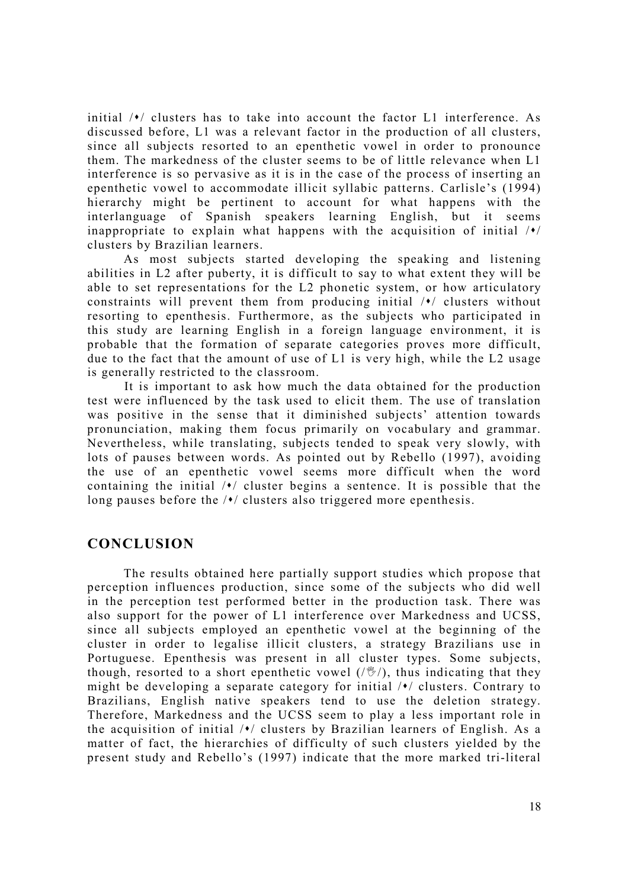initial  $/\prime$  clusters has to take into account the factor L1 interference. As discussed before, L1 was a relevant factor in the production of all clusters, since all subjects resorted to an epenthetic vowel in order to pronounce them. The markedness of the cluster seems to be of little relevance when L1 interference is so pervasive as it is in the case of the process of inserting an epenthetic vowel to accommodate illicit syllabic patterns. Carlisle's (1994) hierarchy might be pertinent to account for what happens with the interlanguage of Spanish speakers learning English, but it seems inappropriate to explain what happens with the acquisition of initial  $/·/$ clusters by Brazilian learners.

As most subjects started developing the speaking and listening abilities in L2 after puberty, it is difficult to say to what extent they will be able to set representations for the L2 phonetic system, or how articulatory constraints will prevent them from producing initial  $\forall$  clusters without resorting to epenthesis. Furthermore, as the subjects who participated in this study are learning English in a foreign language environment, it is probable that the formation of separate categories proves more difficult, due to the fact that the amount of use of L1 is very high, while the L2 usage is generally restricted to the classroom.

 It is important to ask how much the data obtained for the production test were influenced by the task used to elicit them. The use of translation was positive in the sense that it diminished subjects' attention towards pronunciation, making them focus primarily on vocabulary and grammar. Nevertheless, while translating, subjects tended to speak very slowly, with lots of pauses between words. As pointed out by Rebello (1997), avoiding the use of an epenthetic vowel seems more difficult when the word containing the initial  $\sqrt{\cdot}$  cluster begins a sentence. It is possible that the long pauses before the  $/$  elusters also triggered more epenthesis.

## **CONCLUSION**

The results obtained here partially support studies which propose that perception influences production, since some of the subjects who did well in the perception test performed better in the production task. There was also support for the power of L1 interference over Markedness and UCSS, since all subjects employed an epenthetic vowel at the beginning of the cluster in order to legalise illicit clusters, a strategy Brazilians use in Portuguese. Epenthesis was present in all cluster types. Some subjects, though, resorted to a short epenthetic vowel  $(\sqrt{\mathcal{Y}})$ , thus indicating that they might be developing a separate category for initial  $\rightarrow$  clusters. Contrary to Brazilians, English native speakers tend to use the deletion strategy. Therefore, Markedness and the UCSS seem to play a less important role in the acquisition of initial  $/$  clusters by Brazilian learners of English. As a matter of fact, the hierarchies of difficulty of such clusters yielded by the present study and Rebello's (1997) indicate that the more marked tri-literal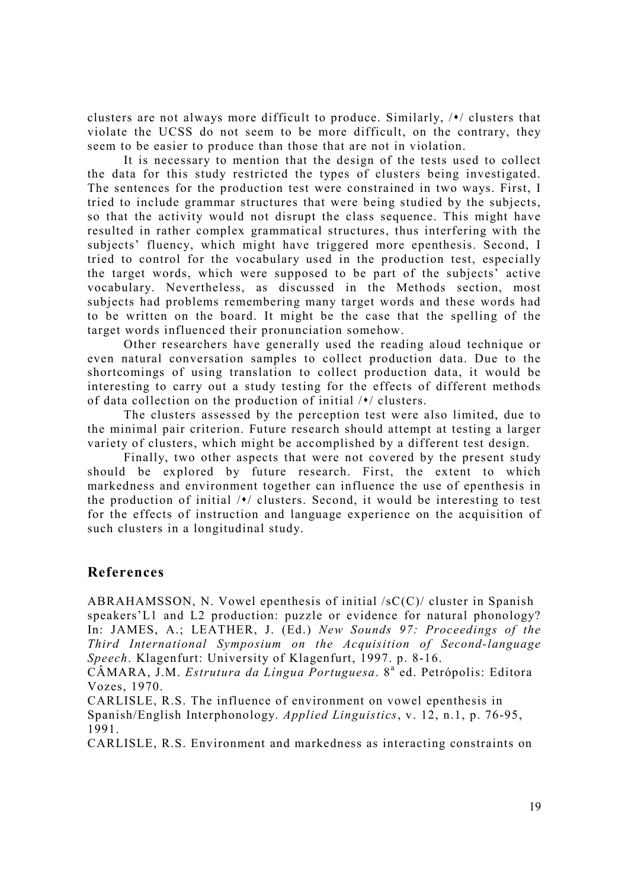clusters are not always more difficult to produce. Similarly,  $/$  clusters that violate the UCSS do not seem to be more difficult, on the contrary, they seem to be easier to produce than those that are not in violation.

It is necessary to mention that the design of the tests used to collect the data for this study restricted the types of clusters being investigated. The sentences for the production test were constrained in two ways. First, I tried to include grammar structures that were being studied by the subjects, so that the activity would not disrupt the class sequence. This might have resulted in rather complex grammatical structures, thus interfering with the subjects' fluency, which might have triggered more epenthesis. Second, I tried to control for the vocabulary used in the production test, especially the target words, which were supposed to be part of the subjects' active vocabulary. Nevertheless, as discussed in the Methods section, most subjects had problems remembering many target words and these words had to be written on the board. It might be the case that the spelling of the target words influenced their pronunciation somehow.

Other researchers have generally used the reading aloud technique or even natural conversation samples to collect production data. Due to the shortcomings of using translation to collect production data, it would be interesting to carry out a study testing for the effects of different methods of data collection on the production of initial  $/$  clusters.

The clusters assessed by the perception test were also limited, due to the minimal pair criterion. Future research should attempt at testing a larger variety of clusters, which might be accomplished by a different test design.

Finally, two other aspects that were not covered by the present study should be explored by future research. First, the extent to which markedness and environment together can influence the use of epenthesis in the production of initial  $/\prime$  clusters. Second, it would be interesting to test for the effects of instruction and language experience on the acquisition of such clusters in a longitudinal study.

## References

ABRAHAMSSON, N. Vowel epenthesis of initial  $/sC(C)/$  cluster in Spanish speakers'L1 and L2 production: puzzle or evidence for natural phonology? In: JAMES, A.; LEATHER, J. (Ed.) New Sounds 97: Proceedings of the Third International Symposium on the Acquisition of Second-language Speech. Klagenfurt: University of Klagenfurt, 1997. p. 8-16.

CÂMARA, J.M. Estrutura da Língua Portuguesa. 8<sup>ª</sup> ed. Petrópolis: Editora Vozes, 1970.

CARLISLE, R.S. The influence of environment on vowel epenthesis in Spanish/English Interphonology. Applied Linguistics, v. 12, n.1, p. 76-95, 1991.

CARLISLE, R.S. Environment and markedness as interacting constraints on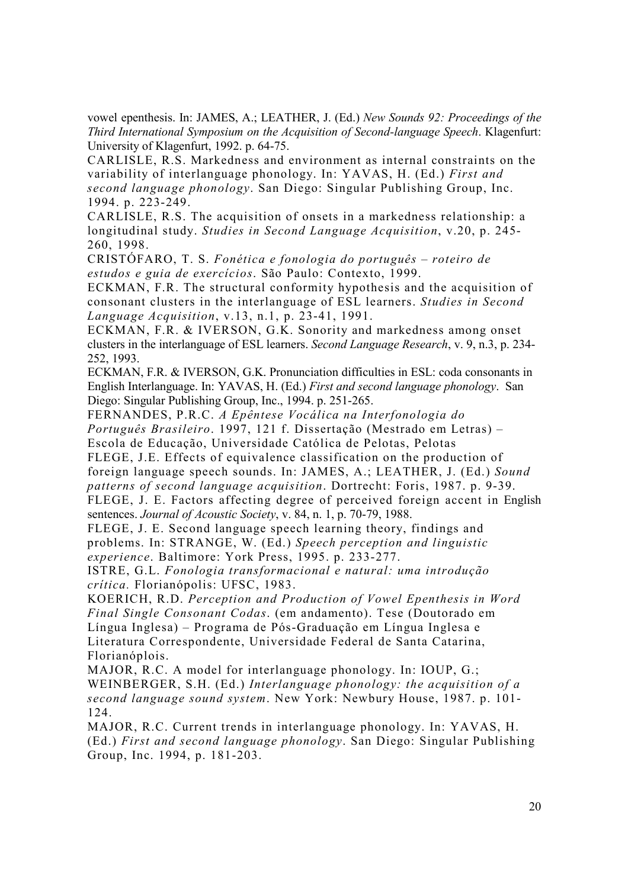vowel epenthesis. In: JAMES, A.; LEATHER, J. (Ed.) New Sounds 92: Proceedings of the Third International Symposium on the Acquisition of Second-language Speech. Klagenfurt: University of Klagenfurt, 1992. p. 64-75.

CARLISLE, R.S. Markedness and environment as internal constraints on the variability of interlanguage phonology. In: YAVAS, H. (Ed.) First and second language phonology. San Diego: Singular Publishing Group, Inc. 1994. p. 223-249.

CARLISLE, R.S. The acquisition of onsets in a markedness relationship: a longitudinal study. Studies in Second Language Acquisition, v.20, p. 245- 260, 1998.

CRISTÓFARO, T. S. Fonética e fonologia do português – roteiro de estudos e guia de exercícios. São Paulo: Contexto, 1999.

ECKMAN, F.R. The structural conformity hypothesis and the acquisition of consonant clusters in the interlanguage of ESL learners. Studies in Second Language Acquisition, v.13, n.1, p. 23-41, 1991.

ECKMAN, F.R. & IVERSON, G.K. Sonority and markedness among onset clusters in the interlanguage of ESL learners. Second Language Research, v. 9, n.3, p. 234- 252, 1993.

ECKMAN, F.R. & IVERSON, G.K. Pronunciation difficulties in ESL: coda consonants in English Interlanguage. In: YAVAS, H. (Ed.) First and second language phonology. San Diego: Singular Publishing Group, Inc., 1994. p. 251-265.

FERNANDES, P.R.C. A Epêntese Vocálica na Interfonologia do Português Brasileiro. 1997, 121 f. Dissertação (Mestrado em Letras) – Escola de Educação, Universidade Católica de Pelotas, Pelotas

FLEGE, J.E. Effects of equivalence classification on the production of foreign language speech sounds. In: JAMES, A.; LEATHER, J. (Ed.) Sound patterns of second language acquisition. Dortrecht: Foris, 1987. p. 9-39.

FLEGE, J. E. Factors affecting degree of perceived foreign accent in English sentences. Journal of Acoustic Society, v. 84, n. 1, p. 70-79, 1988.

FLEGE, J. E. Second language speech learning theory, findings and problems. In: STRANGE, W. (Ed.) Speech perception and linguistic experience. Baltimore: York Press, 1995. p. 233-277.

ISTRE, G.L. Fonologia transformacional e natural: uma introdução crítica. Florianópolis: UFSC, 1983.

KOERICH, R.D. Perception and Production of Vowel Epenthesis in Word Final Single Consonant Codas. (em andamento). Tese (Doutorado em Língua Inglesa) – Programa de Pós-Graduação em Língua Inglesa e Literatura Correspondente, Universidade Federal de Santa Catarina, Florianóplois.

MAJOR, R.C. A model for interlanguage phonology. In: IOUP, G.; WEINBERGER, S.H. (Ed.) Interlanguage phonology: the acquisition of a second language sound system. New York: Newbury House, 1987. p. 101- 124.

MAJOR, R.C. Current trends in interlanguage phonology. In: YAVAS, H. (Ed.) First and second language phonology. San Diego: Singular Publishing Group, Inc. 1994, p. 181-203.